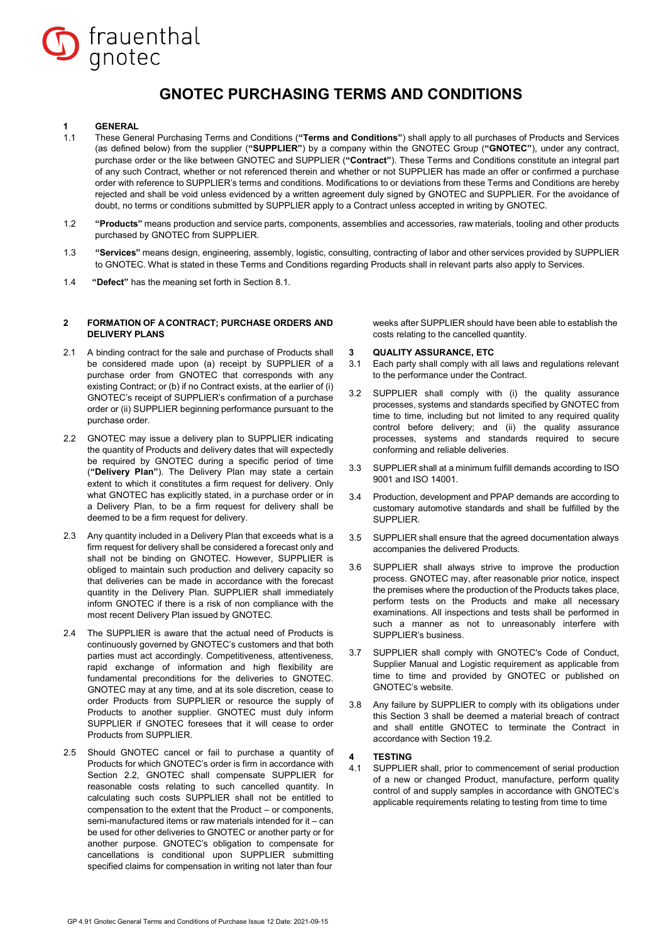

## **GNOTEC PURCHASING TERMS AND CONDITIONS**

## **1 GENERAL**<br>11 **These Ger**

- 1.1 These General Purchasing Terms and Conditions (**"Terms and Conditions"**) shall apply to all purchases of Products and Services (as defined below) from the supplier (**"SUPPLIER"**) by a company within the GNOTEC Group (**"GNOTEC"**), under any contract, purchase order or the like between GNOTEC and SUPPLIER (**"Contract"**). These Terms and Conditions constitute an integral part of any such Contract, whether or not referenced therein and whether or not SUPPLIER has made an offer or confirmed a purchase order with reference to SUPPLIER's terms and conditions. Modifications to or deviations from these Terms and Conditions are hereby rejected and shall be void unless evidenced by a written agreement duly signed by GNOTEC and SUPPLIER. For the avoidance of doubt, no terms or conditions submitted by SUPPLIER apply to a Contract unless accepted in writing by GNOTEC.
- 1.2 **"Products"** means production and service parts, components, assemblies and accessories, raw materials, tooling and other products purchased by GNOTEC from SUPPLIER.
- 1.3 **"Services"** means design, engineering, assembly, logistic, consulting, contracting of labor and other services provided by SUPPLIER to GNOTEC. What is stated in these Terms and Conditions regarding Products shall in relevant parts also apply to Services.
- 1.4 **"Defect"** has the meaning set forth in Section 8.1.

### **2 FORMATION OF ACONTRACT; PURCHASE ORDERS AND DELIVERY PLANS**

- 2.1 A binding contract for the sale and purchase of Products shall be considered made upon (a) receipt by SUPPLIER of a purchase order from GNOTEC that corresponds with any existing Contract; or (b) if no Contract exists, at the earlier of (i) GNOTEC's receipt of SUPPLIER's confirmation of a purchase order or (ii) SUPPLIER beginning performance pursuant to the purchase order.
- 2.2 GNOTEC may issue a delivery plan to SUPPLIER indicating the quantity of Products and delivery dates that will expectedly be required by GNOTEC during a specific period of time (**"Delivery Plan"**). The Delivery Plan may state a certain extent to which it constitutes a firm request for delivery. Only what GNOTEC has explicitly stated, in a purchase order or in a Delivery Plan, to be a firm request for delivery shall be deemed to be a firm request for delivery.
- 2.3 Any quantity included in a Delivery Plan that exceeds what is a firm request for delivery shall be considered a forecast only and shall not be binding on GNOTEC. However, SUPPLIER is obliged to maintain such production and delivery capacity so that deliveries can be made in accordance with the forecast quantity in the Delivery Plan. SUPPLIER shall immediately inform GNOTEC if there is a risk of non compliance with the most recent Delivery Plan issued by GNOTEC.
- 2.4 The SUPPLIER is aware that the actual need of Products is continuously governed by GNOTEC's customers and that both parties must act accordingly. Competitiveness, attentiveness, rapid exchange of information and high flexibility are fundamental preconditions for the deliveries to GNOTEC. GNOTEC may at any time, and at its sole discretion, cease to order Products from SUPPLIER or resource the supply of Products to another supplier. GNOTEC must duly inform SUPPLIER if GNOTEC foresees that it will cease to order Products from SUPPLIER.
- 2.5 Should GNOTEC cancel or fail to purchase a quantity of Products for which GNOTEC's order is firm in accordance with Section 2.2, GNOTEC shall compensate SUPPLIER for reasonable costs relating to such cancelled quantity. In calculating such costs SUPPLIER shall not be entitled to compensation to the extent that the Product – or components, semi-manufactured items or raw materials intended for it – can be used for other deliveries to GNOTEC or another party or for another purpose. GNOTEC's obligation to compensate for cancellations is conditional upon SUPPLIER submitting specified claims for compensation in writing not later than four

weeks after SUPPLIER should have been able to establish the costs relating to the cancelled quantity.

## **3 QUALITY ASSURANCE, ETC**

- 3.1 Each party shall comply with all laws and regulations relevant to the performance under the Contract.
- 3.2 SUPPLIER shall comply with (i) the quality assurance processes, systems and standards specified by GNOTEC from time to time, including but not limited to any required quality control before delivery; and (ii) the quality assurance processes, systems and standards required to secure conforming and reliable deliveries.
- 3.3 SUPPLIER shall at a minimum fulfill demands according to ISO 9001 and ISO 14001.
- 3.4 Production, development and PPAP demands are according to customary automotive standards and shall be fulfilled by the SUPPLIER.
- 3.5 SUPPLIER shall ensure that the agreed documentation always accompanies the delivered Products.
- 3.6 SUPPLIER shall always strive to improve the production process. GNOTEC may, after reasonable prior notice, inspect the premises where the production of the Products takes place, perform tests on the Products and make all necessary examinations. All inspections and tests shall be performed in such a manner as not to unreasonably interfere with SUPPLIER's business.
- 3.7 SUPPLIER shall comply with GNOTEC's Code of Conduct, Supplier Manual and Logistic requirement as applicable from time to time and provided by GNOTEC or published on GNOTEC's website.
- 3.8 Any failure by SUPPLIER to comply with its obligations under this Section 3 shall be deemed a material breach of contract and shall entitle GNOTEC to terminate the Contract in accordance with Section 19.2.

### **4 TESTING**

4.1 SUPPLIER shall, prior to commencement of serial production of a new or changed Product, manufacture, perform quality control of and supply samples in accordance with GNOTEC's applicable requirements relating to testing from time to time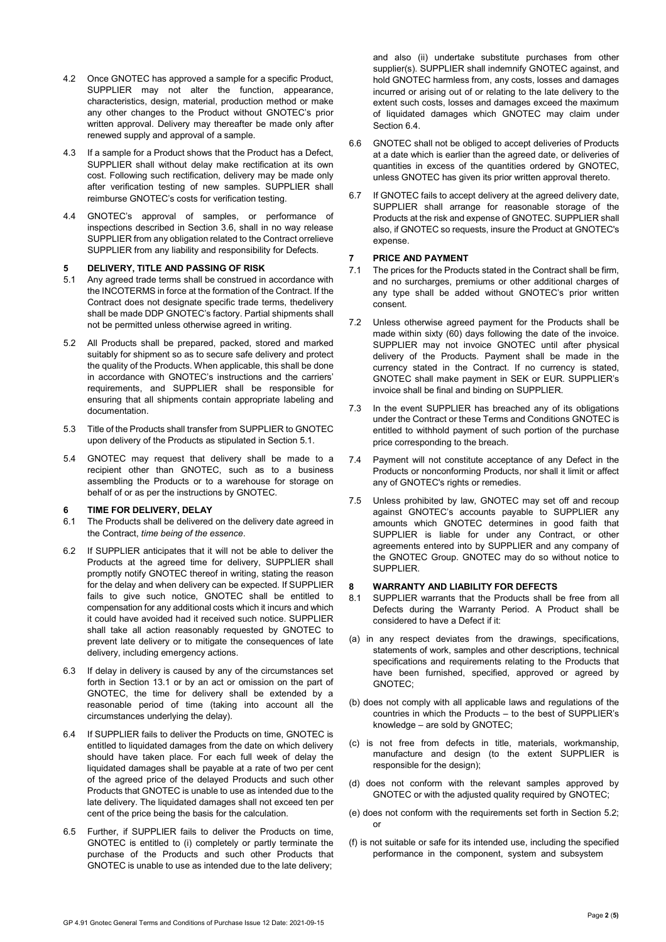- 4.2 Once GNOTEC has approved a sample for a specific Product, SUPPLIER may not alter the function, appearance, characteristics, design, material, production method or make any other changes to the Product without GNOTEC's prior written approval. Delivery may thereafter be made only after renewed supply and approval of a sample.
- 4.3 If a sample for a Product shows that the Product has a Defect, SUPPLIER shall without delay make rectification at its own cost. Following such rectification, delivery may be made only after verification testing of new samples. SUPPLIER shall reimburse GNOTEC's costs for verification testing.
- 4.4 GNOTEC's approval of samples, or performance of inspections described in Section 3.6, shall in no way release SUPPLIER from any obligation related to the Contract orrelieve SUPPLIER from any liability and responsibility for Defects.

## **5 DELIVERY, TITLE AND PASSING OF RISK**

- 5.1 Any agreed trade terms shall be construed in accordance with the INCOTERMS in force at the formation of the Contract. If the Contract does not designate specific trade terms, thedelivery shall be made DDP GNOTEC's factory. Partial shipments shall not be permitted unless otherwise agreed in writing.
- 5.2 All Products shall be prepared, packed, stored and marked suitably for shipment so as to secure safe delivery and protect the quality of the Products. When applicable, this shall be done in accordance with GNOTEC's instructions and the carriers' requirements, and SUPPLIER shall be responsible for ensuring that all shipments contain appropriate labeling and documentation.
- 5.3 Title of the Products shall transfer from SUPPLIER to GNOTEC upon delivery of the Products as stipulated in Section 5.1.
- 5.4 GNOTEC may request that delivery shall be made to a recipient other than GNOTEC, such as to a business assembling the Products or to a warehouse for storage on behalf of or as per the instructions by GNOTEC.

# **6 TIME FOR DELIVERY, DELAY**

- The Products shall be delivered on the delivery date agreed in the Contract, *time being of the essence*.
- 6.2 If SUPPLIER anticipates that it will not be able to deliver the Products at the agreed time for delivery, SUPPLIER shall promptly notify GNOTEC thereof in writing, stating the reason for the delay and when delivery can be expected. If SUPPLIER fails to give such notice, GNOTEC shall be entitled to compensation for any additional costs which it incurs and which it could have avoided had it received such notice. SUPPLIER shall take all action reasonably requested by GNOTEC to prevent late delivery or to mitigate the consequences of late delivery, including emergency actions.
- 6.3 If delay in delivery is caused by any of the circumstances set forth in Section 13.1 or by an act or omission on the part of GNOTEC, the time for delivery shall be extended by a reasonable period of time (taking into account all the circumstances underlying the delay).
- 6.4 If SUPPLIER fails to deliver the Products on time, GNOTEC is entitled to liquidated damages from the date on which delivery should have taken place. For each full week of delay the liquidated damages shall be payable at a rate of two per cent of the agreed price of the delayed Products and such other Products that GNOTEC is unable to use as intended due to the late delivery. The liquidated damages shall not exceed ten per cent of the price being the basis for the calculation.
- 6.5 Further, if SUPPLIER fails to deliver the Products on time, GNOTEC is entitled to (i) completely or partly terminate the purchase of the Products and such other Products that GNOTEC is unable to use as intended due to the late delivery;

and also (ii) undertake substitute purchases from other supplier(s). SUPPLIER shall indemnify GNOTEC against, and hold GNOTEC harmless from, any costs, losses and damages incurred or arising out of or relating to the late delivery to the extent such costs, losses and damages exceed the maximum of liquidated damages which GNOTEC may claim under Section 6.4.

- 6.6 GNOTEC shall not be obliged to accept deliveries of Products at a date which is earlier than the agreed date, or deliveries of quantities in excess of the quantities ordered by GNOTEC, unless GNOTEC has given its prior written approval thereto.
- 6.7 If GNOTEC fails to accept delivery at the agreed delivery date, SUPPLIER shall arrange for reasonable storage of the Products at the risk and expense of GNOTEC. SUPPLIER shall also, if GNOTEC so requests, insure the Product at GNOTEC's expense.

## **7 PRICE AND PAYMENT**

- 7.1 The prices for the Products stated in the Contract shall be firm, and no surcharges, premiums or other additional charges of any type shall be added without GNOTEC's prior written consent.
- 7.2 Unless otherwise agreed payment for the Products shall be made within sixty (60) days following the date of the invoice. SUPPLIER may not invoice GNOTEC until after physical delivery of the Products. Payment shall be made in the currency stated in the Contract. If no currency is stated, GNOTEC shall make payment in SEK or EUR. SUPPLIER's invoice shall be final and binding on SUPPLIER.
- 7.3 In the event SUPPLIER has breached any of its obligations under the Contract or these Terms and Conditions GNOTEC is entitled to withhold payment of such portion of the purchase price corresponding to the breach.
- 7.4 Payment will not constitute acceptance of any Defect in the Products or nonconforming Products, nor shall it limit or affect any of GNOTEC's rights or remedies.
- 7.5 Unless prohibited by law, GNOTEC may set off and recoup against GNOTEC's accounts payable to SUPPLIER any amounts which GNOTEC determines in good faith that SUPPLIER is liable for under any Contract, or other agreements entered into by SUPPLIER and any company of the GNOTEC Group. GNOTEC may do so without notice to SUPPLIER.

## **8 WARRANTY AND LIABILITY FOR DEFECTS**

- SUPPLIER warrants that the Products shall be free from all Defects during the Warranty Period. A Product shall be considered to have a Defect if it:
- (a) in any respect deviates from the drawings, specifications, statements of work, samples and other descriptions, technical specifications and requirements relating to the Products that have been furnished, specified, approved or agreed by GNOTEC;
- (b) does not comply with all applicable laws and regulations of the countries in which the Products – to the best of SUPPLIER's knowledge – are sold by GNOTEC;
- (c) is not free from defects in title, materials, workmanship, manufacture and design (to the extent SUPPLIER is responsible for the design);
- (d) does not conform with the relevant samples approved by GNOTEC or with the adjusted quality required by GNOTEC;
- (e) does not conform with the requirements set forth in Section 5.2; or
- (f) is not suitable or safe for its intended use, including the specified performance in the component, system and subsystem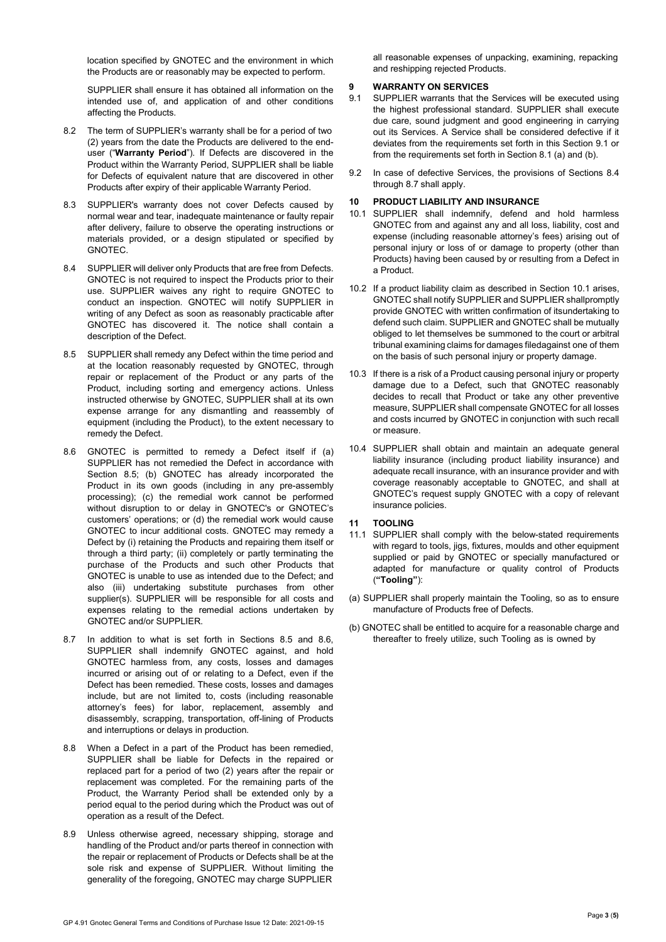location specified by GNOTEC and the environment in which the Products are or reasonably may be expected to perform.

SUPPLIER shall ensure it has obtained all information on the intended use of, and application of and other conditions affecting the Products.

- 8.2 The term of SUPPLIER's warranty shall be for a period of two (2) years from the date the Products are delivered to the enduser ("**Warranty Period**"). If Defects are discovered in the Product within the Warranty Period, SUPPLIER shall be liable for Defects of equivalent nature that are discovered in other Products after expiry of their applicable Warranty Period.
- 8.3 SUPPLIER's warranty does not cover Defects caused by normal wear and tear, inadequate maintenance or faulty repair after delivery, failure to observe the operating instructions or materials provided, or a design stipulated or specified by GNOTEC.
- 8.4 SUPPLIER will deliver only Products that are free from Defects. GNOTEC is not required to inspect the Products prior to their use. SUPPLIER waives any right to require GNOTEC to conduct an inspection. GNOTEC will notify SUPPLIER in writing of any Defect as soon as reasonably practicable after GNOTEC has discovered it. The notice shall contain a description of the Defect.
- 8.5 SUPPLIER shall remedy any Defect within the time period and at the location reasonably requested by GNOTEC, through repair or replacement of the Product or any parts of the Product, including sorting and emergency actions. Unless instructed otherwise by GNOTEC, SUPPLIER shall at its own expense arrange for any dismantling and reassembly of equipment (including the Product), to the extent necessary to remedy the Defect.
- 8.6 GNOTEC is permitted to remedy a Defect itself if (a) SUPPLIER has not remedied the Defect in accordance with Section 8.5; (b) GNOTEC has already incorporated the Product in its own goods (including in any pre-assembly processing); (c) the remedial work cannot be performed without disruption to or delay in GNOTEC's or GNOTEC's customers' operations; or (d) the remedial work would cause GNOTEC to incur additional costs. GNOTEC may remedy a Defect by (i) retaining the Products and repairing them itself or through a third party; (ii) completely or partly terminating the purchase of the Products and such other Products that GNOTEC is unable to use as intended due to the Defect; and also (iii) undertaking substitute purchases from other supplier(s). SUPPLIER will be responsible for all costs and expenses relating to the remedial actions undertaken by GNOTEC and/or SUPPLIER.
- 8.7 In addition to what is set forth in Sections 8.5 and 8.6, SUPPLIER shall indemnify GNOTEC against, and hold GNOTEC harmless from, any costs, losses and damages incurred or arising out of or relating to a Defect, even if the Defect has been remedied. These costs, losses and damages include, but are not limited to, costs (including reasonable attorney's fees) for labor, replacement, assembly and disassembly, scrapping, transportation, off-lining of Products and interruptions or delays in production.
- 8.8 When a Defect in a part of the Product has been remedied, SUPPLIER shall be liable for Defects in the repaired or replaced part for a period of two (2) years after the repair or replacement was completed. For the remaining parts of the Product, the Warranty Period shall be extended only by a period equal to the period during which the Product was out of operation as a result of the Defect.
- 8.9 Unless otherwise agreed, necessary shipping, storage and handling of the Product and/or parts thereof in connection with the repair or replacement of Products or Defects shall be at the sole risk and expense of SUPPLIER. Without limiting the generality of the foregoing, GNOTEC may charge SUPPLIER

all reasonable expenses of unpacking, examining, repacking and reshipping rejected Products.

# **9 WARRANTY ON SERVICES**

- SUPPLIER warrants that the Services will be executed using the highest professional standard. SUPPLIER shall execute due care, sound judgment and good engineering in carrying out its Services. A Service shall be considered defective if it deviates from the requirements set forth in this Section 9.1 or from the requirements set forth in Section 8.1 (a) and (b).
- 9.2 In case of defective Services, the provisions of Sections 8.4 through 8.7 shall apply.

## **10 PRODUCT LIABILITY AND INSURANCE**

- SUPPLIER shall indemnify, defend and hold harmless GNOTEC from and against any and all loss, liability, cost and expense (including reasonable attorney's fees) arising out of personal injury or loss of or damage to property (other than Products) having been caused by or resulting from a Defect in a Product.
- 10.2 If a product liability claim as described in Section 10.1 arises, GNOTEC shall notify SUPPLIER and SUPPLIER shallpromptly provide GNOTEC with written confirmation of itsundertaking to defend such claim. SUPPLIER and GNOTEC shall be mutually obliged to let themselves be summoned to the court or arbitral tribunal examining claims for damages filedagainst one of them on the basis of such personal injury or property damage.
- 10.3 If there is a risk of a Product causing personal injury or property damage due to a Defect, such that GNOTEC reasonably decides to recall that Product or take any other preventive measure, SUPPLIER shall compensate GNOTEC for all losses and costs incurred by GNOTEC in conjunction with such recall or measure.
- 10.4 SUPPLIER shall obtain and maintain an adequate general liability insurance (including product liability insurance) and adequate recall insurance, with an insurance provider and with coverage reasonably acceptable to GNOTEC, and shall at GNOTEC's request supply GNOTEC with a copy of relevant insurance policies.
- **11 TOOLING**
- 11.1 SUPPLIER shall comply with the below-stated requirements with regard to tools, jigs, fixtures, moulds and other equipment supplied or paid by GNOTEC or specially manufactured or adapted for manufacture or quality control of Products (**"Tooling"**):
- (a) SUPPLIER shall properly maintain the Tooling, so as to ensure manufacture of Products free of Defects.
- (b) GNOTEC shall be entitled to acquire for a reasonable charge and thereafter to freely utilize, such Tooling as is owned by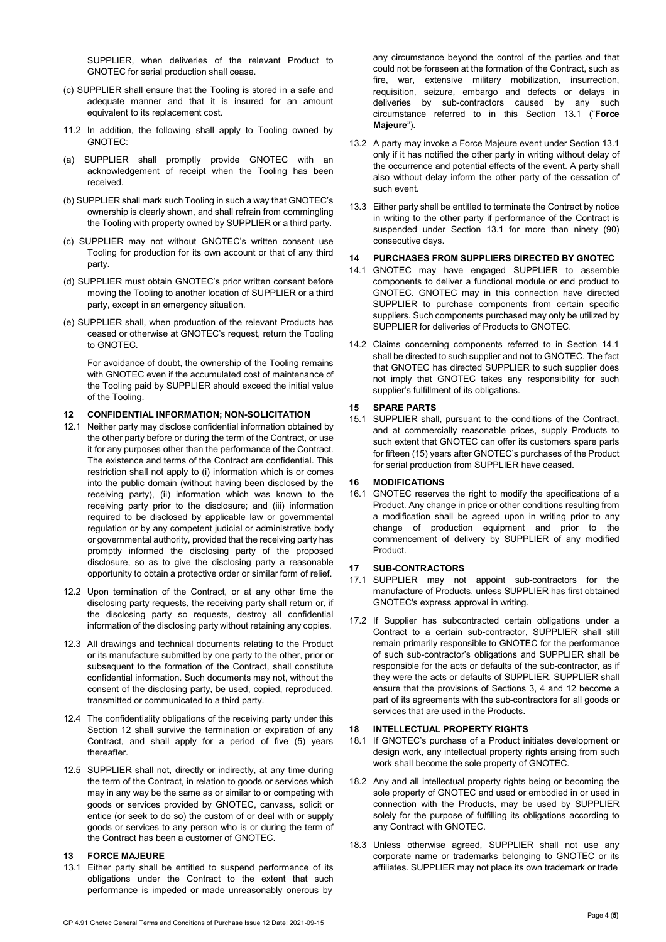SUPPLIER, when deliveries of the relevant Product to GNOTEC for serial production shall cease.

- (c) SUPPLIER shall ensure that the Tooling is stored in a safe and adequate manner and that it is insured for an amount equivalent to its replacement cost.
- 11.2 In addition, the following shall apply to Tooling owned by GNOTEC:
- (a) SUPPLIER shall promptly provide GNOTEC with an acknowledgement of receipt when the Tooling has been received.
- (b) SUPPLIER shall mark such Tooling in such a way that GNOTEC's ownership is clearly shown, and shall refrain from commingling the Tooling with property owned by SUPPLIER or a third party.
- (c) SUPPLIER may not without GNOTEC's written consent use Tooling for production for its own account or that of any third party.
- (d) SUPPLIER must obtain GNOTEC's prior written consent before moving the Tooling to another location of SUPPLIER or a third party, except in an emergency situation.
- (e) SUPPLIER shall, when production of the relevant Products has ceased or otherwise at GNOTEC's request, return the Tooling to GNOTEC.

For avoidance of doubt, the ownership of the Tooling remains with GNOTEC even if the accumulated cost of maintenance of the Tooling paid by SUPPLIER should exceed the initial value of the Tooling.

## **12 CONFIDENTIAL INFORMATION; NON-SOLICITATION**

- 12.1 Neither party may disclose confidential information obtained by the other party before or during the term of the Contract, or use it for any purposes other than the performance of the Contract. The existence and terms of the Contract are confidential. This restriction shall not apply to (i) information which is or comes into the public domain (without having been disclosed by the receiving party), (ii) information which was known to the receiving party prior to the disclosure; and (iii) information required to be disclosed by applicable law or governmental regulation or by any competent judicial or administrative body or governmental authority, provided that the receiving party has promptly informed the disclosing party of the proposed disclosure, so as to give the disclosing party a reasonable opportunity to obtain a protective order or similar form of relief.
- 12.2 Upon termination of the Contract, or at any other time the disclosing party requests, the receiving party shall return or, if the disclosing party so requests, destroy all confidential information of the disclosing party without retaining any copies.
- 12.3 All drawings and technical documents relating to the Product or its manufacture submitted by one party to the other, prior or subsequent to the formation of the Contract, shall constitute confidential information. Such documents may not, without the consent of the disclosing party, be used, copied, reproduced, transmitted or communicated to a third party.
- 12.4 The confidentiality obligations of the receiving party under this Section 12 shall survive the termination or expiration of any Contract, and shall apply for a period of five (5) years thereafter.
- 12.5 SUPPLIER shall not, directly or indirectly, at any time during the term of the Contract, in relation to goods or services which may in any way be the same as or similar to or competing with goods or services provided by GNOTEC, canvass, solicit or entice (or seek to do so) the custom of or deal with or supply goods or services to any person who is or during the term of the Contract has been a customer of GNOTEC.

## **13 FORCE MAJEURE**

13.1 Either party shall be entitled to suspend performance of its obligations under the Contract to the extent that such performance is impeded or made unreasonably onerous by

any circumstance beyond the control of the parties and that could not be foreseen at the formation of the Contract, such as fire, war, extensive military mobilization, insurrection, requisition, seizure, embargo and defects or delays in deliveries by sub-contractors caused by any such circumstance referred to in this Section 13.1 ("**Force Majeure**").

- 13.2 A party may invoke a Force Majeure event under Section 13.1 only if it has notified the other party in writing without delay of the occurrence and potential effects of the event. A party shall also without delay inform the other party of the cessation of such event.
- 13.3 Either party shall be entitled to terminate the Contract by notice in writing to the other party if performance of the Contract is suspended under Section 13.1 for more than ninety (90) consecutive days.

### **14 PURCHASES FROM SUPPLIERS DIRECTED BY GNOTEC**

- 14.1 GNOTEC may have engaged SUPPLIER to assemble components to deliver a functional module or end product to GNOTEC. GNOTEC may in this connection have directed SUPPLIER to purchase components from certain specific suppliers. Such components purchased may only be utilized by SUPPLIER for deliveries of Products to GNOTEC.
- 14.2 Claims concerning components referred to in Section 14.1 shall be directed to such supplier and not to GNOTEC. The fact that GNOTEC has directed SUPPLIER to such supplier does not imply that GNOTEC takes any responsibility for such supplier's fulfillment of its obligations.

### **15 SPARE PARTS**

15.1 SUPPLIER shall, pursuant to the conditions of the Contract, and at commercially reasonable prices, supply Products to such extent that GNOTEC can offer its customers spare parts for fifteen (15) years after GNOTEC's purchases of the Product for serial production from SUPPLIER have ceased.

### **16 MODIFICATIONS**

16.1 GNOTEC reserves the right to modify the specifications of a Product. Any change in price or other conditions resulting from a modification shall be agreed upon in writing prior to any change of production equipment and prior to the commencement of delivery by SUPPLIER of any modified Product.

## **17 SUB-CONTRACTORS**

- 17.1 SUPPLIER may not appoint sub-contractors for the manufacture of Products, unless SUPPLIER has first obtained GNOTEC's express approval in writing.
- 17.2 If Supplier has subcontracted certain obligations under a Contract to a certain sub-contractor, SUPPLIER shall still remain primarily responsible to GNOTEC for the performance of such sub-contractor's obligations and SUPPLIER shall be responsible for the acts or defaults of the sub-contractor, as if they were the acts or defaults of SUPPLIER. SUPPLIER shall ensure that the provisions of Sections 3, 4 and 12 become a part of its agreements with the sub-contractors for all goods or services that are used in the Products.

### **18 INTELLECTUAL PROPERTY RIGHTS**

- 18.1 If GNOTEC's purchase of a Product initiates development or design work, any intellectual property rights arising from such work shall become the sole property of GNOTEC.
- 18.2 Any and all intellectual property rights being or becoming the sole property of GNOTEC and used or embodied in or used in connection with the Products, may be used by SUPPLIER solely for the purpose of fulfilling its obligations according to any Contract with GNOTEC.
- 18.3 Unless otherwise agreed, SUPPLIER shall not use any corporate name or trademarks belonging to GNOTEC or its affiliates. SUPPLIER may not place its own trademark or trade